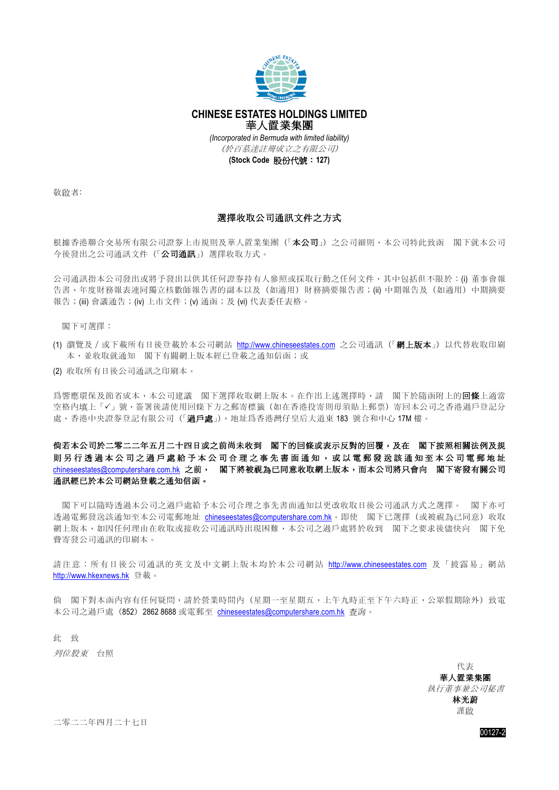

## **CHINESE ESTATES HOLDINGS LIMITED** 華人置業集團

*(Incorporated in Bermuda with limited liability)* (於百慕達註冊成立之有限公司)

**(Stock Code** 股份代號:**127)**

敬啟者:

## 選擇收取公司通訊文件之方式

根據香港聯合交易所有限公司證券上市規則及華人置業集團(「本公司」)之公司細則,本公司特此致函 閣下就本公司 今後發出之公司通訊文件(「公司通訊」) 選擇收取方式。

公司通訊指本公司發出或將予發出以供其任何證券持有人參照或採取行動之任何文件,其中包括但不限於:(i) 董事會報 告書、年度財務報表連同獨立核數師報告書的副本以及(如適用)財務摘要報告書;(ii) 中期報告及(如適用)中期摘要 報告;(iii) 會議通告;(iv) 上市文件;(v) 通函;及 (vi) 代表委任表格。

閣下可選擇:

- (1) 瀏覽及 / 或下載所有日後登載於本公司網站 [http://www.chineseestates.com](http://www.chineseestates.com/) 之公司通訊 (「網上版本」) 以代替收取印刷 本,並收取就通知 閣下有關網上版本經已登載之通知信函;或
- (2) 收取所有日後公司通訊之印刷本。

為響應環保及節省成本,本公司建議 閣下選擇收取網上版本。在作出上述選擇時,請 閣下於隨函附上的**回條**上滴當 空格內填上「√」號,簽署後請使用回條下方之郵寄標籤(如在香港投寄則毋須貼上郵票)寄回本公司之香港過戶登記分 處,香港中央證券登記有限公司(「過戶處」),地址爲香港灣仔皇后大道東 183 號合和中心 17M 樓。

## 倘若本公司於二零二二年五月二十四日或之前**尚**未收到 閣下的回條或表示反對的回覆,及在 閣下按照相關法例及規 則 另 行 透 過 本 公 司 之 過 戶 處 給 予 本 公 司 合 理 之 事 先 書 面 通 知 , 或 以 電 郵 發 送 該 通 知 至 本 公 司 電 郵 地 址 [chineseestates@computershare.com.hk](mailto:chineseestates@computershare.com.hk) 之前, 閣下將被視為已同意收取網上版本,而本公司將只會向 閣下寄發有關公司 通訊經已於本公司網站登載之通知信函。

 閣下可以隨時透過本公司之過戶處給予本公司合理之事先書面通知以更改收取日後公司通訊方式之選擇。 閣下亦可 透過電郵發送該通知至本公司電郵地址 [chineseestates@computershare.com.hk](mailto:chineseestates@computershare.com.hk)。即使 閣下已選擇(或被視為已同意)收取 網上版本,如因任何理由在收取或接收公司通訊時出現困難,本公司之過戶處將於收到 閣下之要求後儘快向 閣下免 費寄發公司通訊的印刷本。

請注意:所有日後公司通訊的英文及中文網上版本均於本公司網站 [http://www.chineseestates.com](http://www.chineseestates.com/) 及「披露易」網站 [http://www.hkexnews.hk](http://www.hkexnews.hk/) 登載。

尚 閣下對本函內容有任何疑問,請於營業時間內(星期一至星期五,上午九時正至下午六時正,公眾假期除外)致電 本公司之過戶處 (852) 2862 8688 或電郵至 [chineseestates@computershare.com.hk](mailto:chineseestates@computershare.com.hk) 杳詢。

此 致 列位股東 台照

> 代表 華人置業集團 執行董事兼公司秘書 林光蔚 謹啟

二零二二年四月二十七日

00127-2